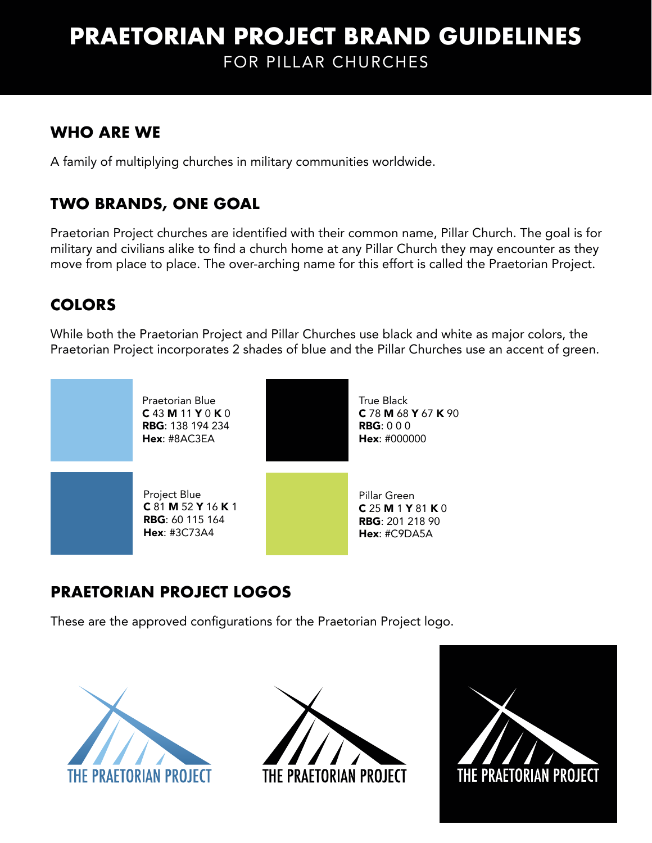# **PRAETORIAN PROJECT BRAND GUIDELINES** FOR PILLAR CHURCHES

### **WHO ARE WE**

A family of multiplying churches in military communities worldwide.

# **TWO BRANDS, ONE GOAL**

Praetorian Project churches are identified with their common name, Pillar Church. The goal is for military and civilians alike to find a church home at any Pillar Church they may encounter as they move from place to place. The over-arching name for this effort is called the Praetorian Project.

### **COLORS**

While both the Praetorian Project and Pillar Churches use black and white as major colors, the Praetorian Project incorporates 2 shades of blue and the Pillar Churches use an accent of green.



# **PRAETORIAN PROJECT LOGOS**

These are the approved configurations for the Praetorian Project logo.





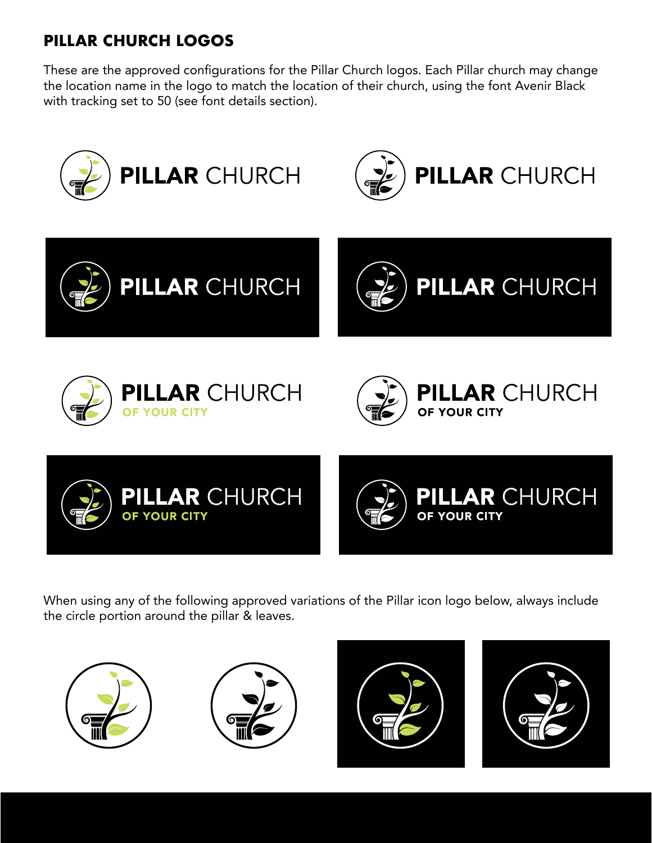# **PILLAR CHURCH LOGOS**

These are the approved configurations for the Pillar Church logos. Each Pillar church may change the location name in the logo to match the location of their church, using the font Avenir Black with tracking set to 50 (see font details section).



When using any of the following approved variations of the Pillar icon logo below, always include the circle portion around the pillar & leaves.







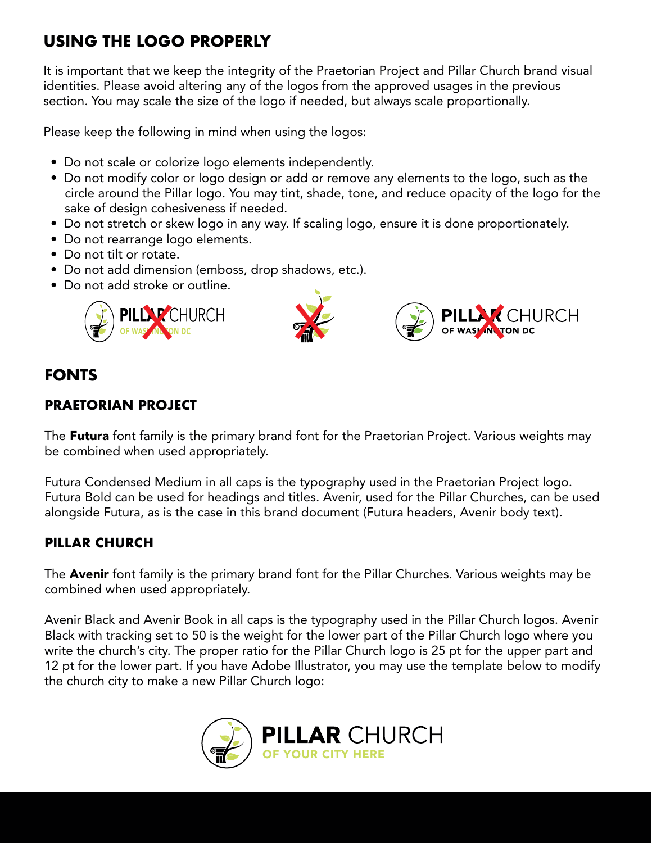# **USING THE LOGO PROPERLY**

It is important that we keep the integrity of the Praetorian Project and Pillar Church brand visual identities. Please avoid altering any of the logos from the approved usages in the previous section. You may scale the size of the logo if needed, but always scale proportionally.

Please keep the following in mind when using the logos:

- Do not scale or colorize logo elements independently.
- Do not modify color or logo design or add or remove any elements to the logo, such as the circle around the Pillar logo. You may tint, shade, tone, and reduce opacity of the logo for the sake of design cohesiveness if needed.
- Do not stretch or skew logo in any way. If scaling logo, ensure it is done proportionately.
- Do not rearrange logo elements.
- Do not tilt or rotate.
- Do not add dimension (emboss, drop shadows, etc.).
- Do not add stroke or outline.





CHURCH

#### **FONTS**

#### **PRAETORIAN PROJECT**

The Futura font family is the primary brand font for the Praetorian Project. Various weights may be combined when used appropriately.

Futura Condensed Medium in all caps is the typography used in the Praetorian Project logo. Futura Bold can be used for headings and titles. Avenir, used for the Pillar Churches, can be used alongside Futura, as is the case in this brand document (Futura headers, Avenir body text).

#### **PILLAR CHURCH**

The **Avenir** font family is the primary brand font for the Pillar Churches. Various weights may be combined when used appropriately.

Avenir Black and Avenir Book in all caps is the typography used in the Pillar Church logos. Avenir Black with tracking set to 50 is the weight for the lower part of the Pillar Church logo where you write the church's city. The proper ratio for the Pillar Church logo is 25 pt for the upper part and 12 pt for the lower part. If you have Adobe Illustrator, you may use the template below to modify the church city to make a new Pillar Church logo: